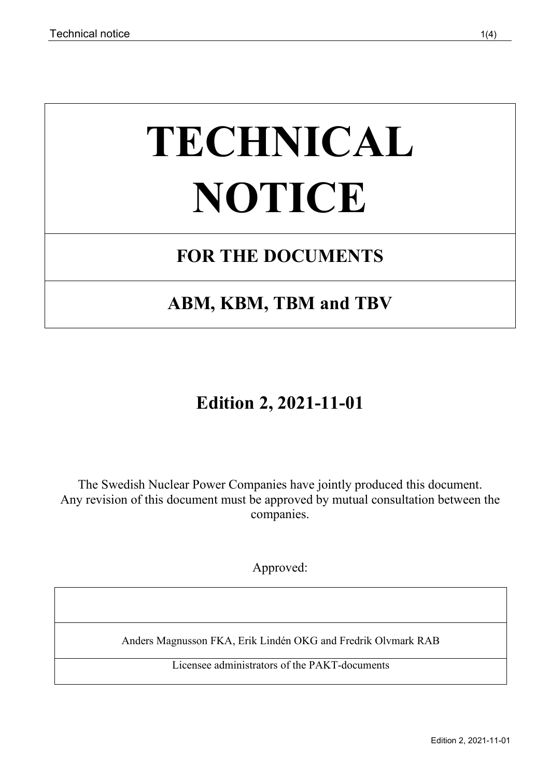# **TECHNICAL NOTICE**

## **FOR THE DOCUMENTS**

## **ABM, KBM, TBM and TBV**

## **Edition 2, 2021-11-01**

The Swedish Nuclear Power Companies have jointly produced this document. Any revision of this document must be approved by mutual consultation between the companies.

Approved:

Anders Magnusson FKA, Erik Lindén OKG and Fredrik Olvmark RAB

Licensee administrators of the PAKT-documents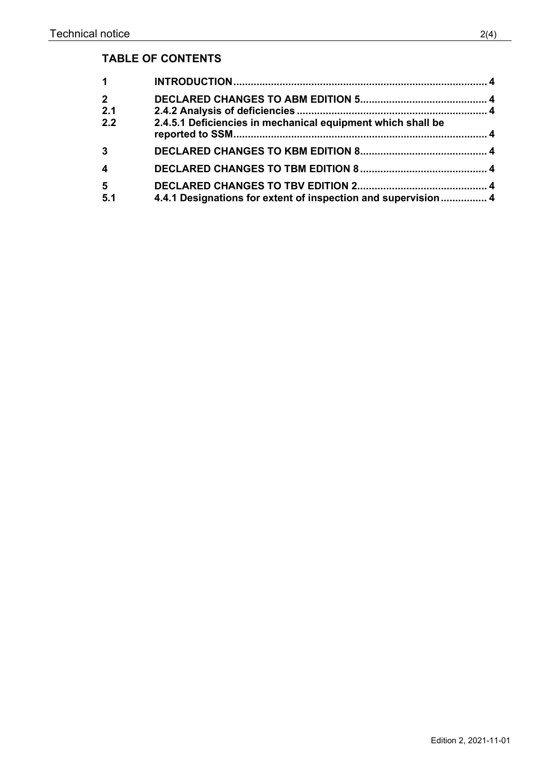### **TABLE OF CONTENTS**

| $\mathbf 1$               |                                                               |  |
|---------------------------|---------------------------------------------------------------|--|
| $2^{\circ}$<br>2.1<br>2.2 | 2.4.5.1 Deficiencies in mechanical equipment which shall be   |  |
| $\mathbf{3}$              |                                                               |  |
| $\overline{\mathbf{4}}$   |                                                               |  |
| $5\phantom{1}$<br>5.1     | 4.4.1 Designations for extent of inspection and supervision 4 |  |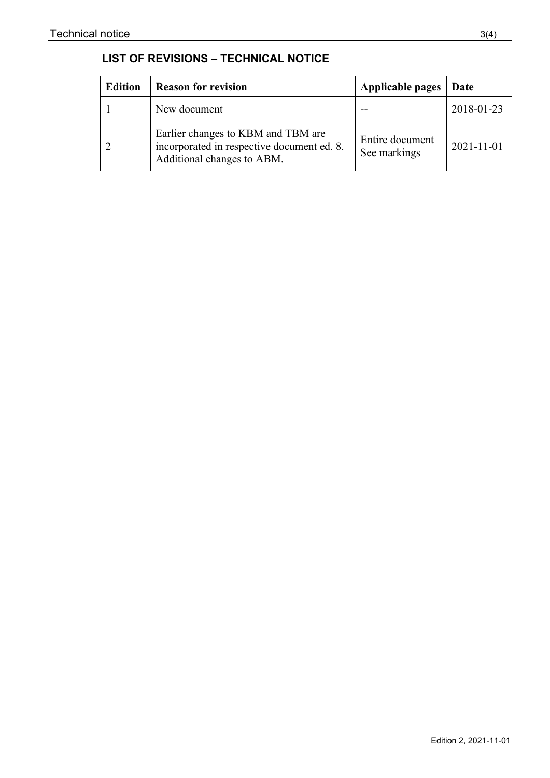| <b>LIST OF REVISIONS - TECHNICAL NOTICE</b> |  |  |
|---------------------------------------------|--|--|
|---------------------------------------------|--|--|

| <b>Edition</b> | <b>Reason for revision</b>                                                                                     | Applicable pages                | Date             |
|----------------|----------------------------------------------------------------------------------------------------------------|---------------------------------|------------------|
|                | New document                                                                                                   |                                 | 2018-01-23       |
|                | Earlier changes to KBM and TBM are<br>incorporated in respective document ed. 8.<br>Additional changes to ABM. | Entire document<br>See markings | $2021 - 11 - 01$ |